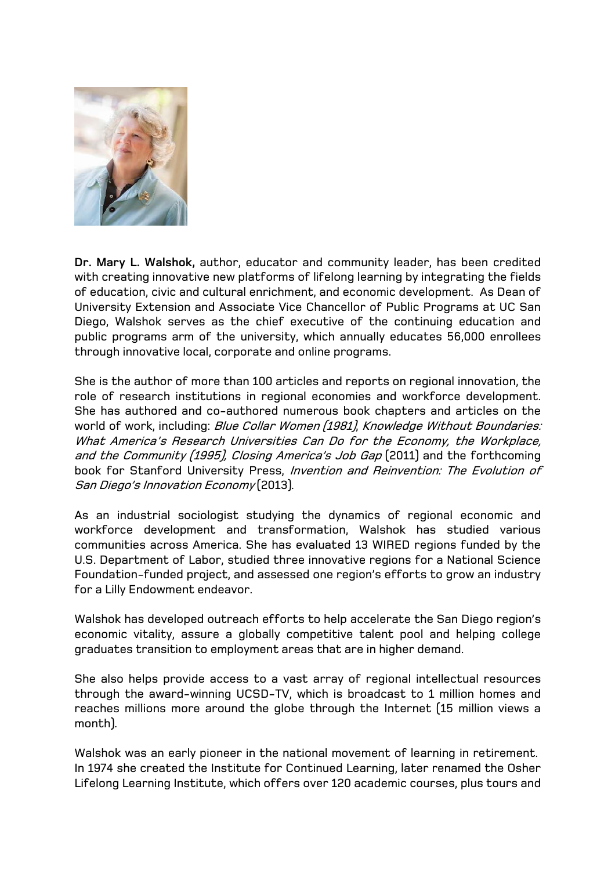

**Dr. Mary L. Walshok,** author, educator and community leader, has been credited with creating innovative new platforms of lifelong learning by integrating the fields of education, civic and cultural enrichment, and economic development. As Dean of University Extension and Associate Vice Chancellor of Public Programs at UC San Diego, Walshok serves as the chief executive of the continuing education and public programs arm of the university, which annually educates 56,000 enrollees through innovative local, corporate and online programs.

She is the author of more than 100 articles and reports on regional innovation, the role of research institutions in regional economies and workforce development. She has authored and co-authored numerous book chapters and articles on the world of work, including: Blue Collar Women (1981), Knowledge Without Boundaries: What America's Research Universities Can Do for the Economy, the Workplace, and the Community (1995), Closing America's Job Gap (2011) and the forthcoming book for Stanford University Press, Invention and Reinvention: The Evolution of San Diego's Innovation Economy (2013).

As an industrial sociologist studying the dynamics of regional economic and workforce development and transformation, Walshok has studied various communities across America. She has evaluated 13 WIRED regions funded by the U.S. Department of Labor, studied three innovative regions for a National Science Foundation-funded project, and assessed one region's efforts to grow an industry for a Lilly Endowment endeavor.

Walshok has developed outreach efforts to help accelerate the San Diego region's economic vitality, assure a globally competitive talent pool and helping college graduates transition to employment areas that are in higher demand.

She also helps provide access to a vast array of regional intellectual resources through the award-winning UCSD-TV, which is broadcast to 1 million homes and reaches millions more around the globe through the Internet (15 million views a month).

Walshok was an early pioneer in the national movement of learning in retirement. In 1974 she created the Institute for Continued Learning, later renamed the Osher Lifelong Learning Institute, which offers over 120 academic courses, plus tours and